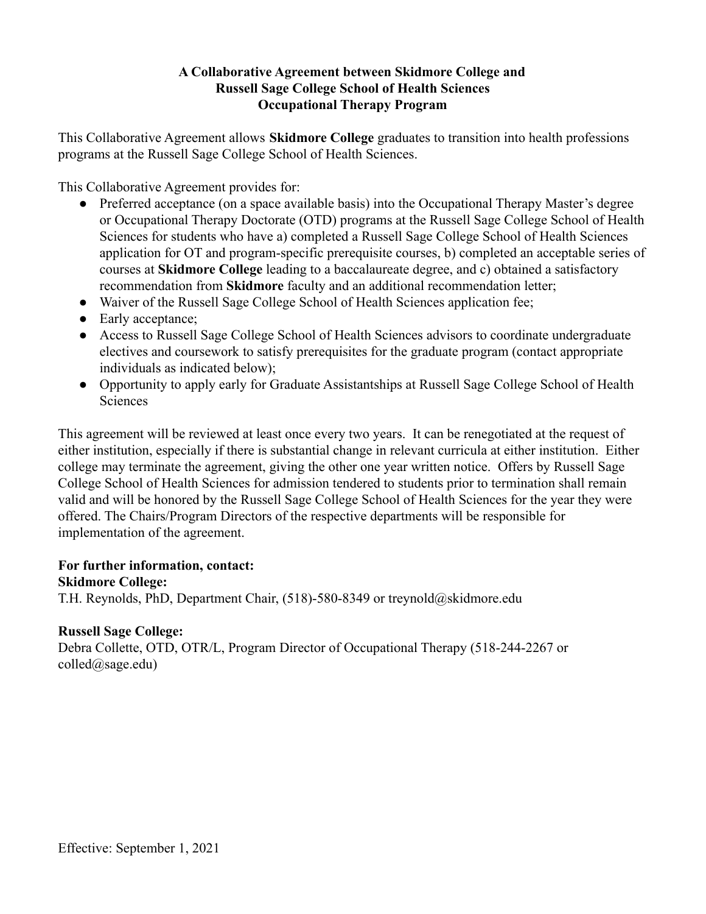## **A Collaborative Agreement between Skidmore College and Russell Sage College School of Health Sciences Occupational Therapy Program**

This Collaborative Agreement allows **Skidmore College** graduates to transition into health professions programs at the Russell Sage College School of Health Sciences.

This Collaborative Agreement provides for:

- Preferred acceptance (on a space available basis) into the Occupational Therapy Master's degree or Occupational Therapy Doctorate (OTD) programs at the Russell Sage College School of Health Sciences for students who have a) completed a Russell Sage College School of Health Sciences application for OT and program-specific prerequisite courses, b) completed an acceptable series of courses at **Skidmore College** leading to a baccalaureate degree, and c) obtained a satisfactory recommendation from **Skidmore** faculty and an additional recommendation letter;
- Waiver of the Russell Sage College School of Health Sciences application fee;
- Early acceptance;
- Access to Russell Sage College School of Health Sciences advisors to coordinate undergraduate electives and coursework to satisfy prerequisites for the graduate program (contact appropriate individuals as indicated below);
- Opportunity to apply early for Graduate Assistantships at Russell Sage College School of Health **Sciences**

This agreement will be reviewed at least once every two years. It can be renegotiated at the request of either institution, especially if there is substantial change in relevant curricula at either institution. Either college may terminate the agreement, giving the other one year written notice. Offers by Russell Sage College School of Health Sciences for admission tendered to students prior to termination shall remain valid and will be honored by the Russell Sage College School of Health Sciences for the year they were offered. The Chairs/Program Directors of the respective departments will be responsible for implementation of the agreement.

#### **For further information, contact:**

#### **Skidmore College:**

T.H. Reynolds, PhD, Department Chair, (518)-580-8349 or treynold@skidmore.edu

# **Russell Sage College:**

Debra Collette, OTD, OTR/L, Program Director of Occupational Therapy (518-244-2267 or colled@sage.edu)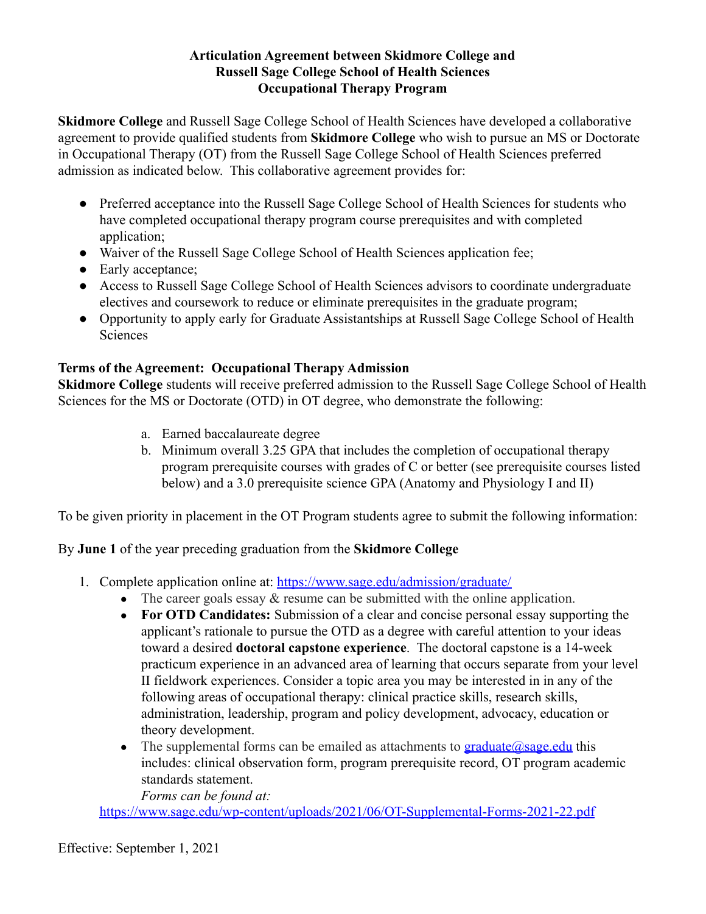### **Articulation Agreement between Skidmore College and Russell Sage College School of Health Sciences Occupational Therapy Program**

**Skidmore College** and Russell Sage College School of Health Sciences have developed a collaborative agreement to provide qualified students from **Skidmore College** who wish to pursue an MS or Doctorate in Occupational Therapy (OT) from the Russell Sage College School of Health Sciences preferred admission as indicated below. This collaborative agreement provides for:

- Preferred acceptance into the Russell Sage College School of Health Sciences for students who have completed occupational therapy program course prerequisites and with completed application:
- Waiver of the Russell Sage College School of Health Sciences application fee;
- Early acceptance;
- Access to Russell Sage College School of Health Sciences advisors to coordinate undergraduate electives and coursework to reduce or eliminate prerequisites in the graduate program;
- Opportunity to apply early for Graduate Assistantships at Russell Sage College School of Health **Sciences**

# **Terms of the Agreement: Occupational Therapy Admission**

**Skidmore College** students will receive preferred admission to the Russell Sage College School of Health Sciences for the MS or Doctorate (OTD) in OT degree, who demonstrate the following:

- a. Earned baccalaureate degree
- b. Minimum overall 3.25 GPA that includes the completion of occupational therapy program prerequisite courses with grades of C or better (see prerequisite courses listed below) and a 3.0 prerequisite science GPA (Anatomy and Physiology I and II)

To be given priority in placement in the OT Program students agree to submit the following information:

By **June 1** of the year preceding graduation from the **Skidmore College**

- 1. Complete application online at: <https://www.sage.edu/admission/graduate/>
	- The career goals essay  $\&$  resume can be submitted with the online application.
	- **For OTD Candidates:** Submission of a clear and concise personal essay supporting the applicant's rationale to pursue the OTD as a degree with careful attention to your ideas toward a desired **doctoral capstone experience**. The doctoral capstone is a 14-week practicum experience in an advanced area of learning that occurs separate from your level II fieldwork experiences. Consider a topic area you may be interested in in any of the following areas of occupational therapy: clinical practice skills, research skills, administration, leadership, program and policy development, advocacy, education or theory development.
	- The supplemental forms can be emailed as attachments to  $graduate@sa$ ge.edu this includes: clinical observation form, program prerequisite record, OT program academic standards statement.

*Forms can be found at:*

<https://www.sage.edu/wp-content/uploads/2021/06/OT-Supplemental-Forms-2021-22.pdf>